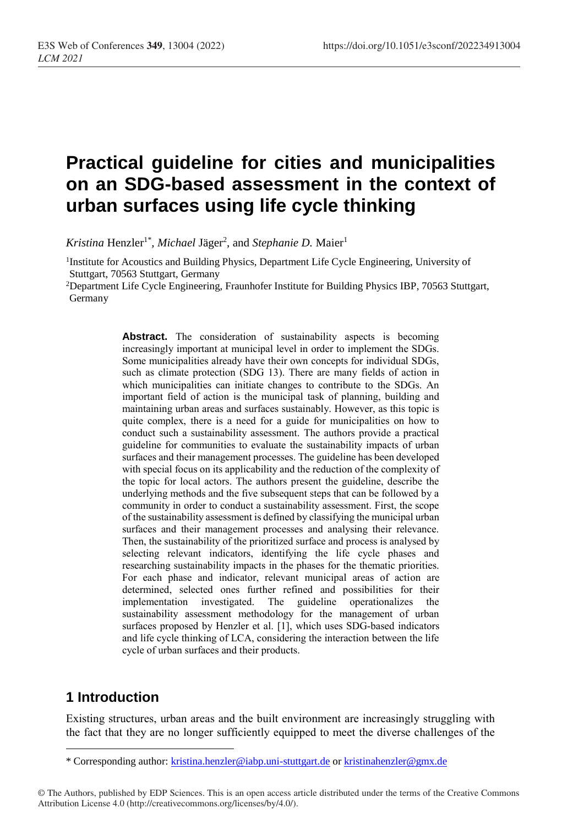# **Practical guideline for cities and municipalities on an SDG-based assessment in the context of urban surfaces using life cycle thinking**

Kristina Henzler<sup>1\*</sup>, *Michael Jäger<sup>2</sup>*, and *Stephanie D*. Maier<sup>1</sup>

<sup>1</sup>Institute for Acoustics and Building Physics, Department Life Cycle Engineering, University of Stuttgart, 70563 Stuttgart, Germany

<sup>2</sup>Department Life Cycle Engineering, Fraunhofer Institute for Building Physics IBP, 70563 Stuttgart, Germany

> Abstract. The consideration of sustainability aspects is becoming increasingly important at municipal level in order to implement the SDGs. Some municipalities already have their own concepts for individual SDGs, such as climate protection (SDG 13). There are many fields of action in which municipalities can initiate changes to contribute to the SDGs. An important field of action is the municipal task of planning, building and maintaining urban areas and surfaces sustainably. However, as this topic is quite complex, there is a need for a guide for municipalities on how to conduct such a sustainability assessment. The authors provide a practical guideline for communities to evaluate the sustainability impacts of urban surfaces and their management processes. The guideline has been developed with special focus on its applicability and the reduction of the complexity of the topic for local actors. The authors present the guideline, describe the underlying methods and the five subsequent steps that can be followed by a community in order to conduct a sustainability assessment. First, the scope of the sustainability assessment is defined by classifying the municipal urban surfaces and their management processes and analysing their relevance. Then, the sustainability of the prioritized surface and process is analysed by selecting relevant indicators, identifying the life cycle phases and researching sustainability impacts in the phases for the thematic priorities. For each phase and indicator, relevant municipal areas of action are determined, selected ones further refined and possibilities for their implementation investigated. The guideline operationalizes the sustainability assessment methodology for the management of urban surfaces proposed by Henzler et al. [\[1\],](#page-5-0) which uses SDG-based indicators and life cycle thinking of LCA, considering the interaction between the life cycle of urban surfaces and their products.

# **1 Introduction**

 $\overline{a}$ 

Existing structures, urban areas and the built environment are increasingly struggling with the fact that they are no longer sufficiently equipped to meet the diverse challenges of the

<sup>\*</sup> Corresponding author: [kristina.henzler@iabp.uni-stuttgart.de](mailto:kristina.henzler@iabp.uni-stuttgart.de) o[r kristinahenzler@gmx.de](mailto:kristinahenzler@gmx.de)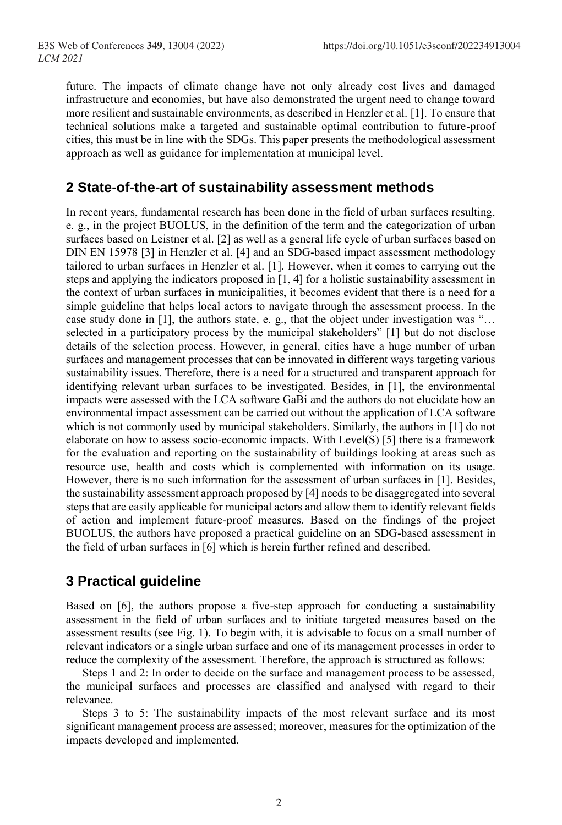future. The impacts of climate change have not only already cost lives and damaged infrastructure and economies, but have also demonstrated the urgent need to change toward more resilient and sustainable environments, as described in Henzler et al. [\[1\].](#page-5-0) To ensure that technical solutions make a targeted and sustainable optimal contribution to future-proof cities, this must be in line with the SDGs. This paper presents the methodological assessment approach as well as guidance for implementation at municipal level.

## **2 State-of-the-art of sustainability assessment methods**

In recent years, fundamental research has been done in the field of urban surfaces resulting, e. g., in the project BUOLUS, in the definition of the term and the categorization of urban surfaces based on Leistner et al. [\[2\]](#page-5-1) as well as a general life cycle of urban surfaces based on DIN EN 15978 [\[3\]](#page-5-2) in Henzler et al. [\[4\]](#page-5-3) and an SDG-based impact assessment methodology tailored to urban surfaces in Henzler et al. [\[1\].](#page-5-0) However, when it comes to carrying out the steps and applying the indicators proposed i[n \[1, 4\]](#page-5-0) for a holistic sustainability assessment in the context of urban surfaces in municipalities, it becomes evident that there is a need for a simple guideline that helps local actors to navigate through the assessment process. In the case study done in [\[1\],](#page-5-0) the authors state, e. g., that the object under investigation was "… selected in a participatory process by the municipal stakeholders" [\[1\]](#page-5-0) but do not disclose details of the selection process. However, in general, cities have a huge number of urban surfaces and management processes that can be innovated in different ways targeting various sustainability issues. Therefore, there is a need for a structured and transparent approach for identifying relevant urban surfaces to be investigated. Besides, in [\[1\],](#page-5-0) the environmental impacts were assessed with the LCA software GaBi and the authors do not elucidate how an environmental impact assessment can be carried out without the application of LCA software which is not commonly used by municipal stakeholders. Similarly, the authors in [\[1\]](#page-5-0) do not elaborate on how to assess socio-economic impacts. With Level(S) [\[5\]](#page-5-4) there is a framework for the evaluation and reporting on the sustainability of buildings looking at areas such as resource use, health and costs which is complemented with information on its usage. However, there is no such information for the assessment of urban surfaces in [\[1\].](#page-5-0) Besides, the sustainability assessment approach proposed by [\[4\]](#page-5-3) needs to be disaggregated into several steps that are easily applicable for municipal actors and allow them to identify relevant fields of action and implement future-proof measures. Based on the findings of the project BUOLUS, the authors have proposed a practical guideline on an SDG-based assessment in the field of urban surfaces in [\[6\]](#page-5-5) which is herein further refined and described.

# **3 Practical guideline**

Based on [\[6\],](#page-5-5) the authors propose a five-step approach for conducting a sustainability assessment in the field of urban surfaces and to initiate targeted measures based on the assessment results (see Fig. 1). To begin with, it is advisable to focus on a small number of relevant indicators or a single urban surface and one of its management processes in order to reduce the complexity of the assessment. Therefore, the approach is structured as follows:

Steps 1 and 2: In order to decide on the surface and management process to be assessed, the municipal surfaces and processes are classified and analysed with regard to their relevance.

Steps 3 to 5: The sustainability impacts of the most relevant surface and its most significant management process are assessed; moreover, measures for the optimization of the impacts developed and implemented.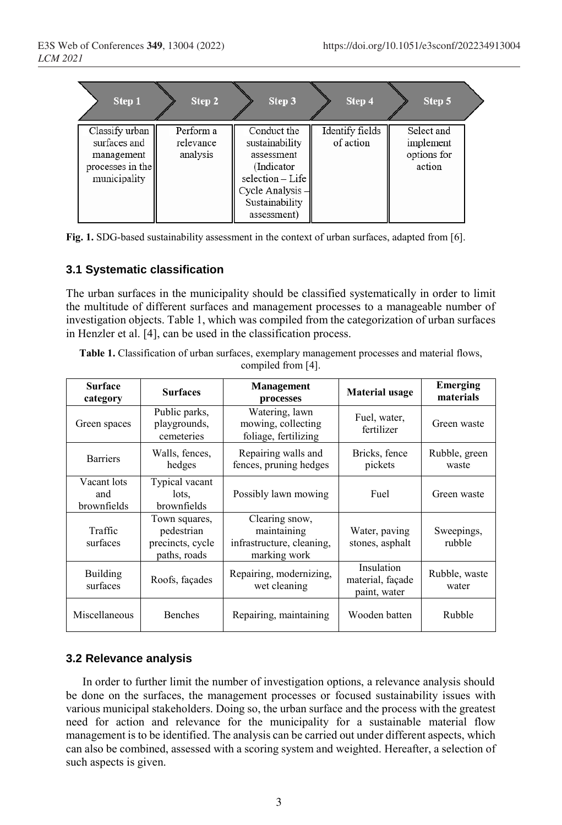| Step 1                                                                           | Step 2                             | Step 3                                                                                                                              | Step 4                       | Step 5                                           |  |
|----------------------------------------------------------------------------------|------------------------------------|-------------------------------------------------------------------------------------------------------------------------------------|------------------------------|--------------------------------------------------|--|
| Classify urban<br>surfaces and<br>management<br>processes in the<br>municipality | Perform a<br>relevance<br>analysis | Conduct the<br>sustainability<br>assessment<br>(Indicator)<br>selection - Life<br>Cycle Analysis -<br>Sustainability<br>assessment) | Identify fields<br>of action | Select and<br>implement<br>options for<br>action |  |

**Fig. 1.** SDG-based sustainability assessment in the context of urban surfaces, adapted fro[m \[6\].](#page-5-5)

## **3.1 Systematic classification**

The urban surfaces in the municipality should be classified systematically in order to limit the multitude of different surfaces and management processes to a manageable number of investigation objects. Table 1, which was compiled from the categorization of urban surfaces in Henzler et al. [\[4\],](#page-5-3) can be used in the classification process.

| Table 1. Classification of urban surfaces, exemplary management processes and material flows, |                       |  |
|-----------------------------------------------------------------------------------------------|-----------------------|--|
|                                                                                               | compiled from $[4]$ . |  |

| <b>Surface</b><br>category        | <b>Surfaces</b>                                                 | <b>Management</b><br>processes                                             | <b>Material usage</b>                          | Emerging<br>materials  |
|-----------------------------------|-----------------------------------------------------------------|----------------------------------------------------------------------------|------------------------------------------------|------------------------|
| Green spaces                      | Public parks,<br>playgrounds,<br>cemeteries                     | Watering, lawn<br>mowing, collecting<br>foliage, fertilizing               | Fuel, water,<br>fertilizer                     | Green waste            |
| <b>Barriers</b>                   | Walls, fences,<br>hedges                                        | Repairing walls and<br>fences, pruning hedges                              | Bricks, fence<br>pickets                       | Rubble, green<br>waste |
| Vacant lots<br>and<br>brownfields | Typical vacant<br>lots.<br>brownfields                          | Possibly lawn mowing                                                       | Fuel                                           | Green waste            |
| Traffic<br>surfaces               | Town squares,<br>pedestrian<br>precincts, cycle<br>paths, roads | Clearing snow,<br>maintaining<br>infrastructure, cleaning,<br>marking work | Water, paving<br>stones, asphalt               | Sweepings,<br>rubble   |
| Building<br>surfaces              | Roofs, façades                                                  | Repairing, modernizing,<br>wet cleaning                                    | Insulation<br>material, façade<br>paint, water | Rubble, waste<br>water |
| Miscellaneous                     | Benches                                                         | Repairing, maintaining                                                     | Wooden batten                                  | Rubble                 |

## **3.2 Relevance analysis**

In order to further limit the number of investigation options, a relevance analysis should be done on the surfaces, the management processes or focused sustainability issues with various municipal stakeholders. Doing so, the urban surface and the process with the greatest need for action and relevance for the municipality for a sustainable material flow management is to be identified. The analysis can be carried out under different aspects, which can also be combined, assessed with a scoring system and weighted. Hereafter, a selection of such aspects is given.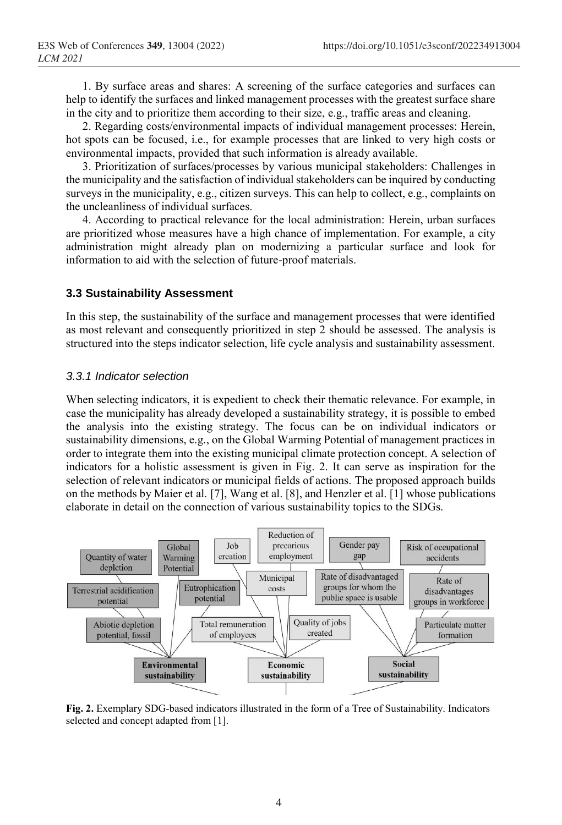1. By surface areas and shares: A screening of the surface categories and surfaces can help to identify the surfaces and linked management processes with the greatest surface share in the city and to prioritize them according to their size, e.g., traffic areas and cleaning.

2. Regarding costs/environmental impacts of individual management processes: Herein, hot spots can be focused, i.e., for example processes that are linked to very high costs or environmental impacts, provided that such information is already available.

3. Prioritization of surfaces/processes by various municipal stakeholders: Challenges in the municipality and the satisfaction of individual stakeholders can be inquired by conducting surveys in the municipality, e.g., citizen surveys. This can help to collect, e.g., complaints on the uncleanliness of individual surfaces.

4. According to practical relevance for the local administration: Herein, urban surfaces are prioritized whose measures have a high chance of implementation. For example, a city administration might already plan on modernizing a particular surface and look for information to aid with the selection of future-proof materials.

#### **3.3 Sustainability Assessment**

In this step, the sustainability of the surface and management processes that were identified as most relevant and consequently prioritized in step 2 should be assessed. The analysis is structured into the steps indicator selection, life cycle analysis and sustainability assessment.

#### *3.3.1 Indicator selection*

When selecting indicators, it is expedient to check their thematic relevance. For example, in case the municipality has already developed a sustainability strategy, it is possible to embed the analysis into the existing strategy. The focus can be on individual indicators or sustainability dimensions, e.g., on the Global Warming Potential of management practices in order to integrate them into the existing municipal climate protection concept. A selection of indicators for a holistic assessment is given in Fig. 2. It can serve as inspiration for the selection of relevant indicators or municipal fields of actions. The proposed approach builds on the methods by Maier et al. [\[7\],](#page-5-6) Wang et al. [\[8\],](#page-5-7) and Henzler et al. [\[1\]](#page-5-0) whose publications elaborate in detail on the connection of various sustainability topics to the SDGs.



**Fig. 2.** Exemplary SDG-based indicators illustrated in the form of a Tree of Sustainability. Indicators selected and concept adapted fro[m \[1\].](#page-5-0)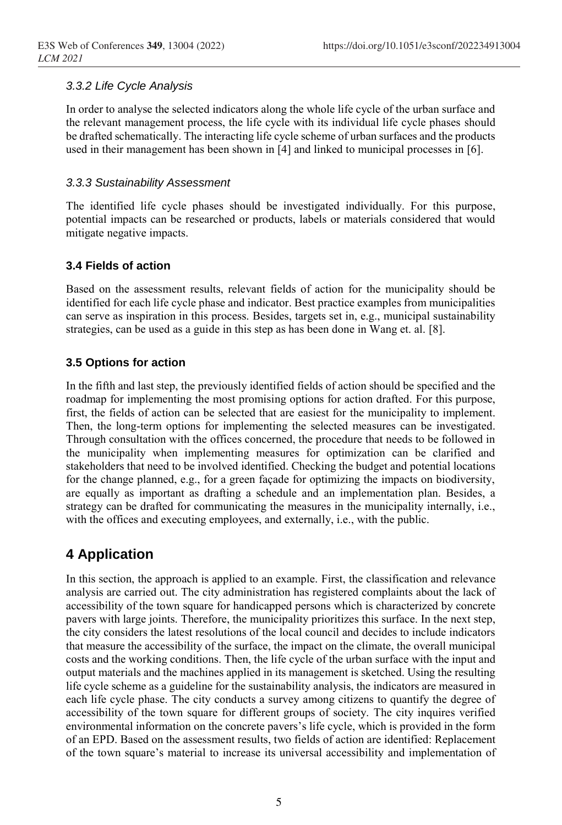## *3.3.2 Life Cycle Analysis*

In order to analyse the selected indicators along the whole life cycle of the urban surface and the relevant management process, the life cycle with its individual life cycle phases should be drafted schematically. The interacting life cycle scheme of urban surfaces and the products used in their management has been shown in [\[4\]](#page-5-3) and linked to municipal processes in [\[6\].](#page-5-5)

### *3.3.3 Sustainability Assessment*

The identified life cycle phases should be investigated individually. For this purpose, potential impacts can be researched or products, labels or materials considered that would mitigate negative impacts.

#### **3.4 Fields of action**

Based on the assessment results, relevant fields of action for the municipality should be identified for each life cycle phase and indicator. Best practice examples from municipalities can serve as inspiration in this process. Besides, targets set in, e.g., municipal sustainability strategies, can be used as a guide in this step as has been done in Wang et. al. [8].

## **3.5 Options for action**

In the fifth and last step, the previously identified fields of action should be specified and the roadmap for implementing the most promising options for action drafted. For this purpose, first, the fields of action can be selected that are easiest for the municipality to implement. Then, the long-term options for implementing the selected measures can be investigated. Through consultation with the offices concerned, the procedure that needs to be followed in the municipality when implementing measures for optimization can be clarified and stakeholders that need to be involved identified. Checking the budget and potential locations for the change planned, e.g., for a green façade for optimizing the impacts on biodiversity, are equally as important as drafting a schedule and an implementation plan. Besides, a strategy can be drafted for communicating the measures in the municipality internally, i.e., with the offices and executing employees, and externally, i.e., with the public.

# **4 Application**

In this section, the approach is applied to an example. First, the classification and relevance analysis are carried out. The city administration has registered complaints about the lack of accessibility of the town square for handicapped persons which is characterized by concrete pavers with large joints. Therefore, the municipality prioritizes this surface. In the next step, the city considers the latest resolutions of the local council and decides to include indicators that measure the accessibility of the surface, the impact on the climate, the overall municipal costs and the working conditions. Then, the life cycle of the urban surface with the input and output materials and the machines applied in its management is sketched. Using the resulting life cycle scheme as a guideline for the sustainability analysis, the indicators are measured in each life cycle phase. The city conducts a survey among citizens to quantify the degree of accessibility of the town square for different groups of society. The city inquires verified environmental information on the concrete pavers's life cycle, which is provided in the form of an EPD. Based on the assessment results, two fields of action are identified: Replacement of the town square's material to increase its universal accessibility and implementation of